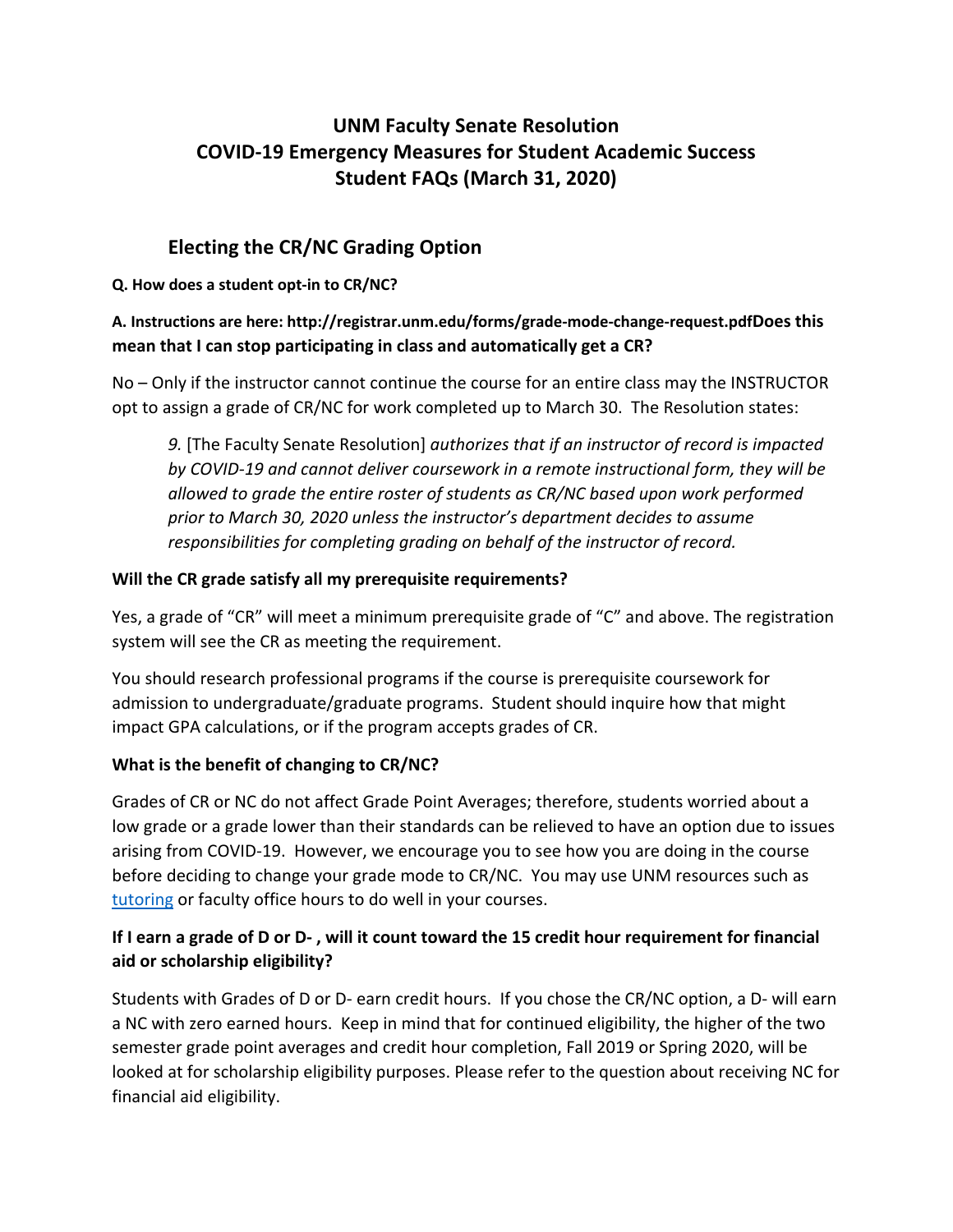# **UNM Faculty Senate Resolution COVID-19 Emergency Measures for Student Academic Success Student FAQs (March 31, 2020)**

## **Electing the CR/NC Grading Option**

#### **Q. How does a student opt-in to CR/NC?**

## **A. Instructions are here: http://registrar.unm.edu/forms/grade-mode-change-request.pdfDoes this mean that I can stop participating in class and automatically get a CR?**

No – Only if the instructor cannot continue the course for an entire class may the INSTRUCTOR opt to assign a grade of CR/NC for work completed up to March 30. The Resolution states:

*9.* [The Faculty Senate Resolution] *authorizes that if an instructor of record is impacted by COVID-19 and cannot deliver coursework in a remote instructional form, they will be allowed to grade the entire roster of students as CR/NC based upon work performed prior to March 30, 2020 unless the instructor's department decides to assume responsibilities for completing grading on behalf of the instructor of record.*

#### **Will the CR grade satisfy all my prerequisite requirements?**

Yes, a grade of "CR" will meet a minimum prerequisite grade of "C" and above. The registration system will see the CR as meeting the requirement.

You should research professional programs if the course is prerequisite coursework for admission to undergraduate/graduate programs. Student should inquire how that might impact GPA calculations, or if the program accepts grades of CR.

#### **What is the benefit of changing to CR/NC?**

Grades of CR or NC do not affect Grade Point Averages; therefore, students worried about a low grade or a grade lower than their standards can be relieved to have an option due to issues arising from COVID-19. However, we encourage you to see how you are doing in the course before deciding to change your grade mode to CR/NC. You may use UNM resources such as tutoring or faculty office hours to do well in your courses.

## **If I earn a grade of D or D- , will it count toward the 15 credit hour requirement for financial aid or scholarship eligibility?**

Students with Grades of D or D- earn credit hours. If you chose the CR/NC option, a D- will earn a NC with zero earned hours. Keep in mind that for continued eligibility, the higher of the two semester grade point averages and credit hour completion, Fall 2019 or Spring 2020, will be looked at for scholarship eligibility purposes. Please refer to the question about receiving NC for financial aid eligibility.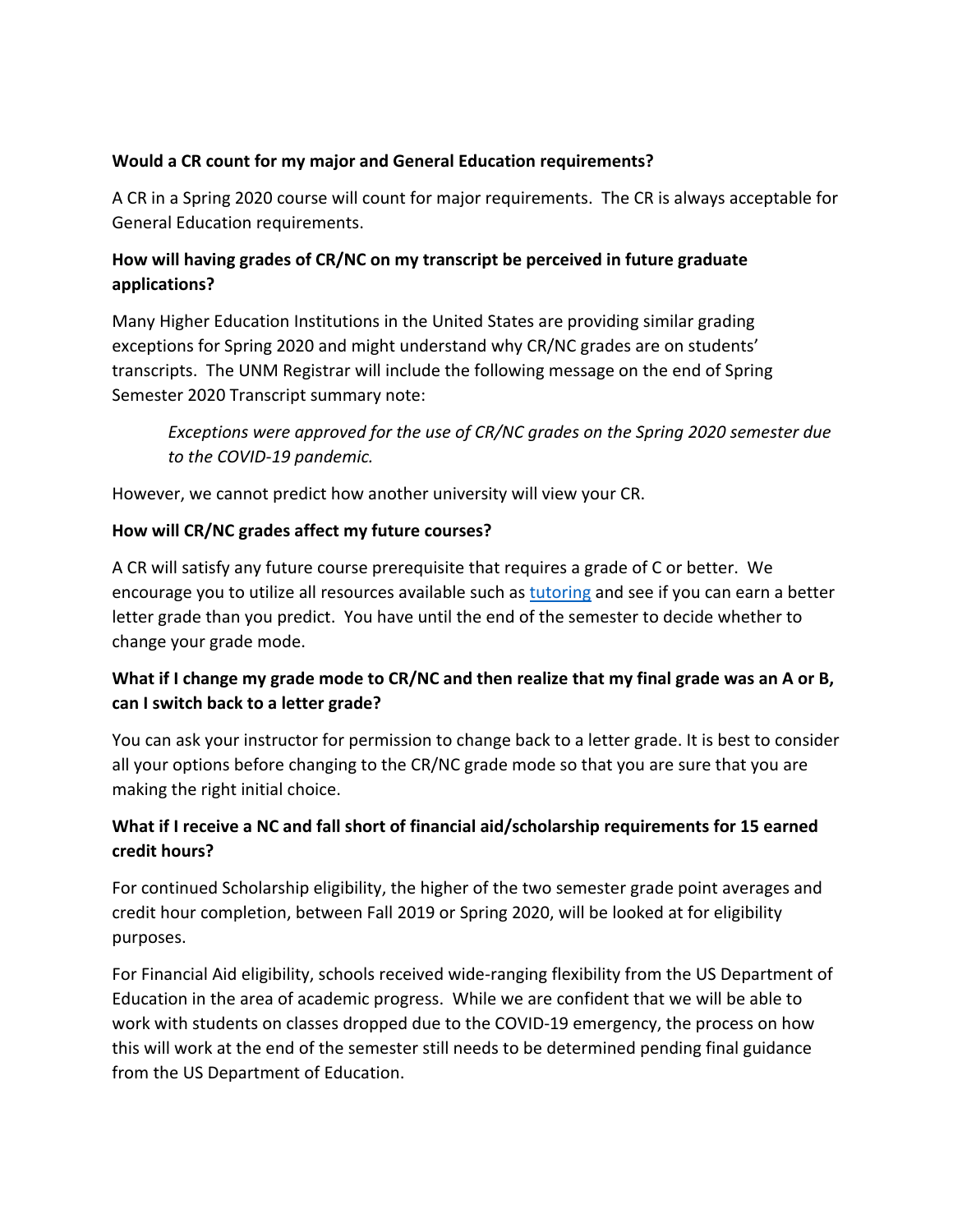#### **Would a CR count for my major and General Education requirements?**

A CR in a Spring 2020 course will count for major requirements. The CR is always acceptable for General Education requirements.

## **How will having grades of CR/NC on my transcript be perceived in future graduate applications?**

Many Higher Education Institutions in the United States are providing similar grading exceptions for Spring 2020 and might understand why CR/NC grades are on students' transcripts. The UNM Registrar will include the following message on the end of Spring Semester 2020 Transcript summary note:

*Exceptions were approved for the use of CR/NC grades on the Spring 2020 semester due to the COVID-19 pandemic.* 

However, we cannot predict how another university will view your CR.

#### **How will CR/NC grades affect my future courses?**

A CR will satisfy any future course prerequisite that requires a grade of C or better. We encourage you to utilize all resources available such as tutoring and see if you can earn a better letter grade than you predict. You have until the end of the semester to decide whether to change your grade mode.

## **What if I change my grade mode to CR/NC and then realize that my final grade was an A or B, can I switch back to a letter grade?**

You can ask your instructor for permission to change back to a letter grade. It is best to consider all your options before changing to the CR/NC grade mode so that you are sure that you are making the right initial choice.

#### **What if I receive a NC and fall short of financial aid/scholarship requirements for 15 earned credit hours?**

For continued Scholarship eligibility, the higher of the two semester grade point averages and credit hour completion, between Fall 2019 or Spring 2020, will be looked at for eligibility purposes.

For Financial Aid eligibility, schools received wide-ranging flexibility from the US Department of Education in the area of academic progress. While we are confident that we will be able to work with students on classes dropped due to the COVID-19 emergency, the process on how this will work at the end of the semester still needs to be determined pending final guidance from the US Department of Education.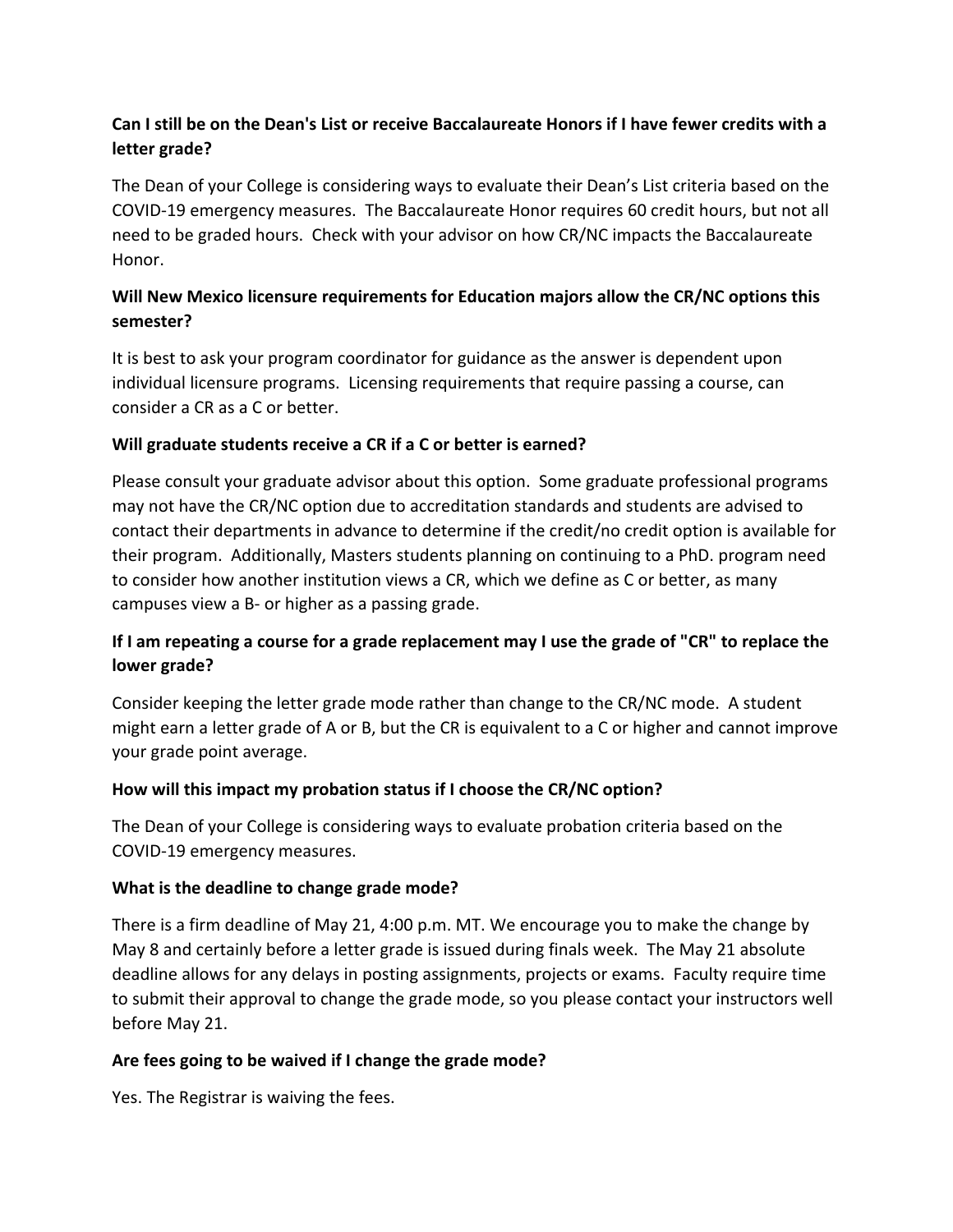## **Can I still be on the Dean's List or receive Baccalaureate Honors if I have fewer credits with a letter grade?**

The Dean of your College is considering ways to evaluate their Dean's List criteria based on the COVID-19 emergency measures. The Baccalaureate Honor requires 60 credit hours, but not all need to be graded hours. Check with your advisor on how CR/NC impacts the Baccalaureate Honor.

## **Will New Mexico licensure requirements for Education majors allow the CR/NC options this semester?**

It is best to ask your program coordinator for guidance as the answer is dependent upon individual licensure programs. Licensing requirements that require passing a course, can consider a CR as a C or better.

#### **Will graduate students receive a CR if a C or better is earned?**

Please consult your graduate advisor about this option. Some graduate professional programs may not have the CR/NC option due to accreditation standards and students are advised to contact their departments in advance to determine if the credit/no credit option is available for their program. Additionally, Masters students planning on continuing to a PhD. program need to consider how another institution views a CR, which we define as C or better, as many campuses view a B- or higher as a passing grade.

## **If I am repeating a course for a grade replacement may I use the grade of "CR" to replace the lower grade?**

Consider keeping the letter grade mode rather than change to the CR/NC mode. A student might earn a letter grade of A or B, but the CR is equivalent to a C or higher and cannot improve your grade point average.

#### **How will this impact my probation status if I choose the CR/NC option?**

The Dean of your College is considering ways to evaluate probation criteria based on the COVID-19 emergency measures.

#### **What is the deadline to change grade mode?**

There is a firm deadline of May 21, 4:00 p.m. MT. We encourage you to make the change by May 8 and certainly before a letter grade is issued during finals week. The May 21 absolute deadline allows for any delays in posting assignments, projects or exams. Faculty require time to submit their approval to change the grade mode, so you please contact your instructors well before May 21.

## **Are fees going to be waived if I change the grade mode?**

Yes. The Registrar is waiving the fees.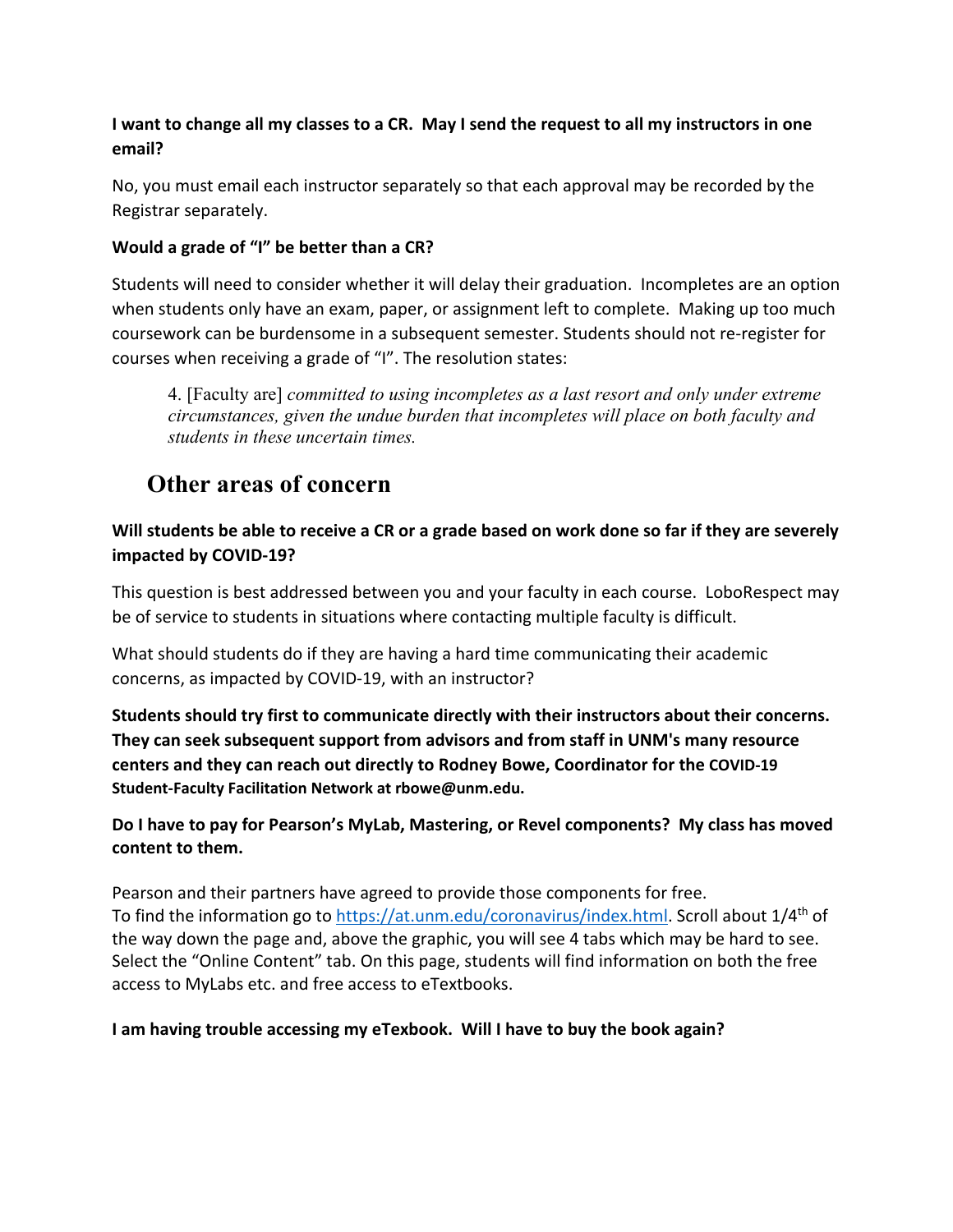## **I want to change all my classes to a CR. May I send the request to all my instructors in one email?**

No, you must email each instructor separately so that each approval may be recorded by the Registrar separately.

## **Would a grade of "I" be better than a CR?**

Students will need to consider whether it will delay their graduation. Incompletes are an option when students only have an exam, paper, or assignment left to complete. Making up too much coursework can be burdensome in a subsequent semester. Students should not re-register for courses when receiving a grade of "I". The resolution states:

4. [Faculty are] *committed to using incompletes as a last resort and only under extreme circumstances, given the undue burden that incompletes will place on both faculty and students in these uncertain times.* 

# **Other areas of concern**

## **Will students be able to receive a CR or a grade based on work done so far if they are severely impacted by COVID-19?**

This question is best addressed between you and your faculty in each course. LoboRespect may be of service to students in situations where contacting multiple faculty is difficult.

What should students do if they are having a hard time communicating their academic concerns, as impacted by COVID-19, with an instructor?

**Students should try first to communicate directly with their instructors about their concerns. They can seek subsequent support from advisors and from staff in UNM's many resource centers and they can reach out directly to Rodney Bowe, Coordinator for the COVID-19 Student-Faculty Facilitation Network at rbowe@unm.edu.**

#### **Do I have to pay for Pearson's MyLab, Mastering, or Revel components? My class has moved content to them.**

Pearson and their partners have agreed to provide those components for free. To find the information go to https://at.unm.edu/coronavirus/index.html. Scroll about 1/4<sup>th</sup> of the way down the page and, above the graphic, you will see 4 tabs which may be hard to see. Select the "Online Content" tab. On this page, students will find information on both the free access to MyLabs etc. and free access to eTextbooks.

#### **I am having trouble accessing my eTexbook. Will I have to buy the book again?**